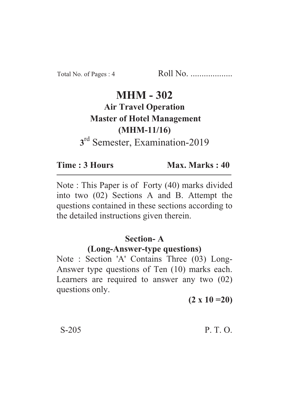### **MHM - 302 Air Travel Operation Master of Hotel Management (MHM-11/16)** (*MH*<sub>m</sub>) <sup>rd</sup> Semester, Examination-2019 **3**

#### Time: 3 Hours **Time : 3 Hours Max. Marks : 40**

Note : This Paper is of Forty (40) marks divided into two (02) Sections A and B. Attempt the questions contained in these sections according to the detailed instructions given therein.

# **Section-A**

#### **(Long-Answer-type questions)**

Note : Section 'A' Contains Three (03) Long-Answer type questions of Ten (10) marks each. Learners are required to answer any two (02) questions only.

**(2 x 10 =20)**

#### S-205 P. T. O.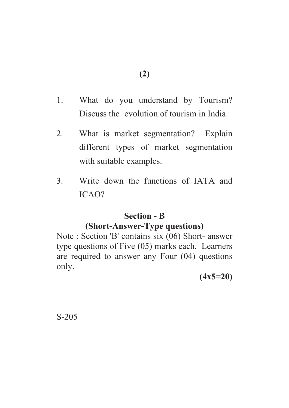- 1. What do you understand by Tourism? Discuss the evolution of tourism in India.
- 2. What is market segmentation? Explain different types of market segmentation with suitable examples.
- 3. Write down the functions of IATA and ICAO?

# **Section - B**

# **(Short-Answer-Type questions)**

Note : Section 'B' contains six (06) Short- answer type questions of Five (05) marks each. Learners are required to answer any Four (04) questions only.

**(4x5=20)**

S-205